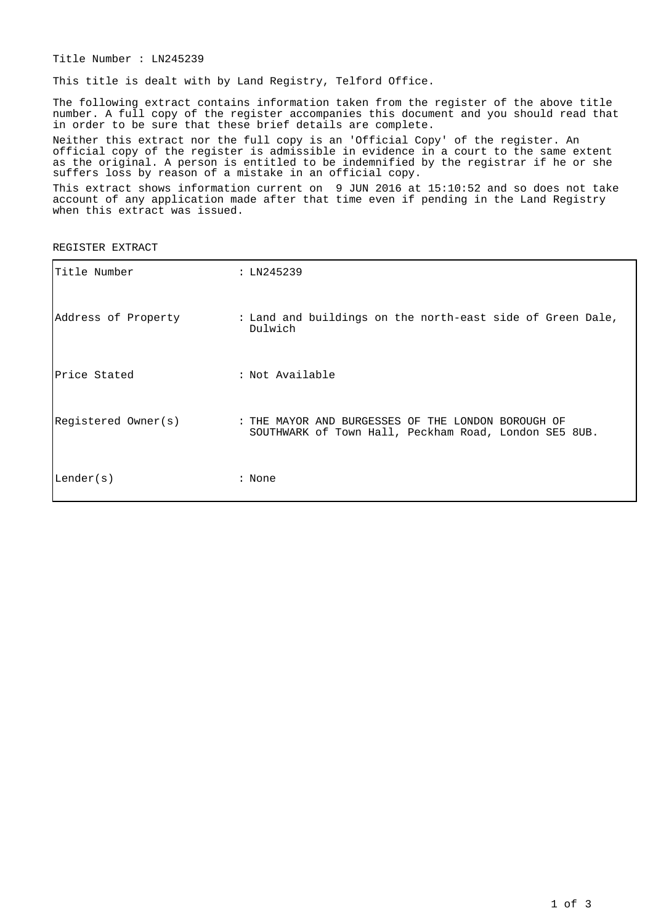Title Number : LN245239

This title is dealt with by Land Registry, Telford Office.

The following extract contains information taken from the register of the above title number. A full copy of the register accompanies this document and you should read that in order to be sure that these brief details are complete.

Neither this extract nor the full copy is an 'Official Copy' of the register. An official copy of the register is admissible in evidence in a court to the same extent as the original. A person is entitled to be indemnified by the registrar if he or she suffers loss by reason of a mistake in an official copy.

This extract shows information current on 9 JUN 2016 at 15:10:52 and so does not take account of any application made after that time even if pending in the Land Registry when this extract was issued.

REGISTER EXTRACT

| Title Number        | : LN245239                                                                                                  |
|---------------------|-------------------------------------------------------------------------------------------------------------|
| Address of Property | : Land and buildings on the north-east side of Green Dale,<br>Dulwich                                       |
| Price Stated        | : Not Available                                                                                             |
| Registered Owner(s) | : THE MAYOR AND BURGESSES OF THE LONDON BOROUGH OF<br>SOUTHWARK of Town Hall, Peckham Road, London SE5 8UB. |
| Lender(s)           | : None                                                                                                      |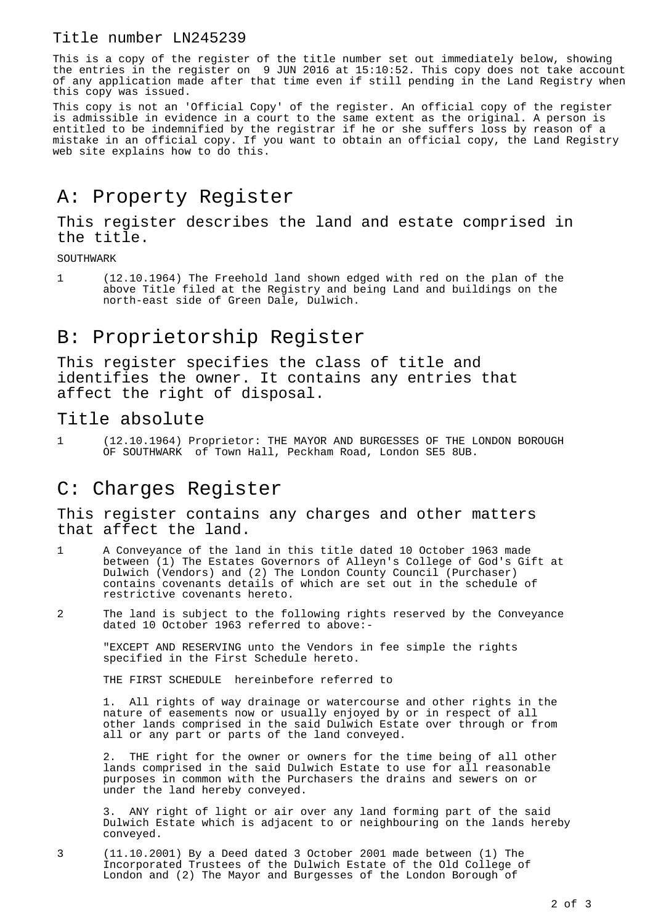#### Title number LN245239

This is a copy of the register of the title number set out immediately below, showing the entries in the register on 9 JUN 2016 at 15:10:52. This copy does not take account of any application made after that time even if still pending in the Land Registry when this copy was issued.

This copy is not an 'Official Copy' of the register. An official copy of the register is admissible in evidence in a court to the same extent as the original. A person is entitled to be indemnified by the registrar if he or she suffers loss by reason of a mistake in an official copy. If you want to obtain an official copy, the Land Registry web site explains how to do this.

# A: Property Register

This register describes the land and estate comprised in the title.

SOUTHWARK

1 (12.10.1964) The Freehold land shown edged with red on the plan of the above Title filed at the Registry and being Land and buildings on the north-east side of Green Dale, Dulwich.

## B: Proprietorship Register

This register specifies the class of title and identifies the owner. It contains any entries that affect the right of disposal.

#### Title absolute

1 (12.10.1964) Proprietor: THE MAYOR AND BURGESSES OF THE LONDON BOROUGH OF SOUTHWARK of Town Hall, Peckham Road, London SE5 8UB.

## C: Charges Register

This register contains any charges and other matters that affect the land.

- 1 A Conveyance of the land in this title dated 10 October 1963 made between (1) The Estates Governors of Alleyn's College of God's Gift at Dulwich (Vendors) and (2) The London County Council (Purchaser) contains covenants details of which are set out in the schedule of restrictive covenants hereto.
- 2 The land is subject to the following rights reserved by the Conveyance dated 10 October 1963 referred to above:-

"EXCEPT AND RESERVING unto the Vendors in fee simple the rights specified in the First Schedule hereto.

THE FIRST SCHEDULE hereinbefore referred to

1. All rights of way drainage or watercourse and other rights in the nature of easements now or usually enjoyed by or in respect of all other lands comprised in the said Dulwich Estate over through or from all or any part or parts of the land conveyed.

2. THE right for the owner or owners for the time being of all other lands comprised in the said Dulwich Estate to use for all reasonable purposes in common with the Purchasers the drains and sewers on or under the land hereby conveyed.

ANY right of light or air over any land forming part of the said Dulwich Estate which is adjacent to  $\overline{or}$  neighbouring on the lands hereby conveyed.

3 (11.10.2001) By a Deed dated 3 October 2001 made between (1) The Incorporated Trustees of the Dulwich Estate of the Old College of London and (2) The Mayor and Burgesses of the London Borough of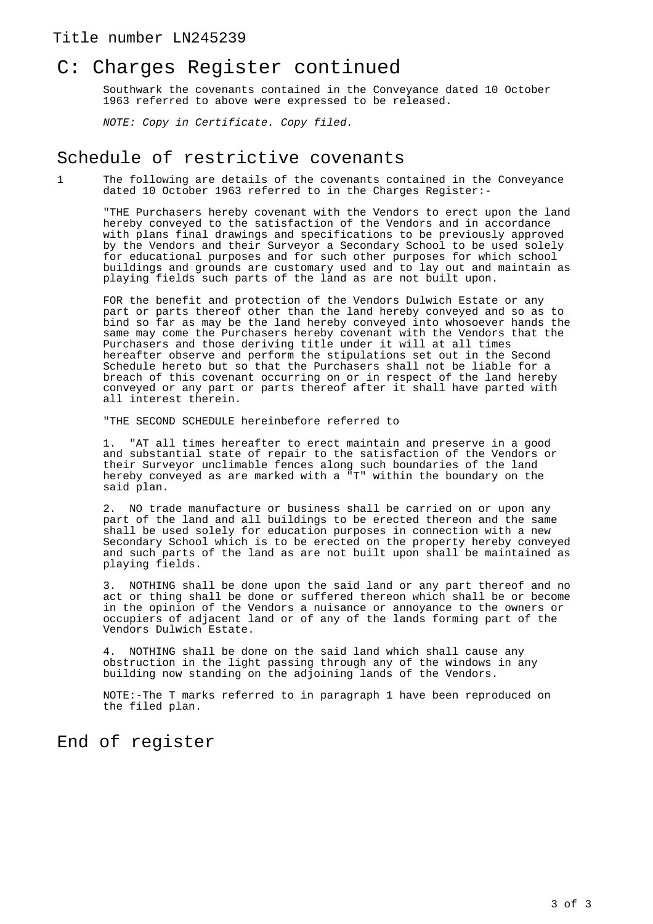#### Title number LN245239

### C: Charges Register continued

Southwark the covenants contained in the Conveyance dated 10 October 1963 referred to above were expressed to be released.

NOTE: Copy in Certificate. Copy filed.

#### Schedule of restrictive covenants

1 The following are details of the covenants contained in the Conveyance dated 10 October 1963 referred to in the Charges Register:-

"THE Purchasers hereby covenant with the Vendors to erect upon the land hereby conveyed to the satisfaction of the Vendors and in accordance with plans final drawings and specifications to be previously approved by the Vendors and their Surveyor a Secondary School to be used solely for educational purposes and for such other purposes for which school buildings and grounds are customary used and to lay out and maintain as playing fields such parts of the land as are not built upon.

FOR the benefit and protection of the Vendors Dulwich Estate or any part or parts thereof other than the land hereby conveyed and so as to bind so far as may be the land hereby conveyed into whosoever hands the same may come the Purchasers hereby covenant with the Vendors that the Purchasers and those deriving title under it will at all times hereafter observe and perform the stipulations set out in the Second Schedule hereto but so that the Purchasers shall not be liable for a breach of this covenant occurring on or in respect of the land hereby conveyed or any part or parts thereof after it shall have parted with all interest therein.

"THE SECOND SCHEDULE hereinbefore referred to

1. "AT all times hereafter to erect maintain and preserve in a good and substantial state of repair to the satisfaction of the Vendors or their Surveyor unclimable fences along such boundaries of the land hereby conveyed as are marked with a "T" within the boundary on the said plan.

2. NO trade manufacture or business shall be carried on or upon any part of the land and all buildings to be erected thereon and the same shall be used solely for education purposes in connection with a new Secondary School which is to be erected on the property hereby conveyed and such parts of the land as are not built upon shall be maintained as playing fields.

3. NOTHING shall be done upon the said land or any part thereof and no act or thing shall be done or suffered thereon which shall be or become in the opinion of the Vendors a nuisance or annoyance to the owners or occupiers of adjacent land or of any of the lands forming part of the Vendors Dulwich Estate.

4. NOTHING shall be done on the said land which shall cause any obstruction in the light passing through any of the windows in any building now standing on the adjoining lands of the Vendors.

NOTE:-The T marks referred to in paragraph 1 have been reproduced on the filed plan.

### End of register